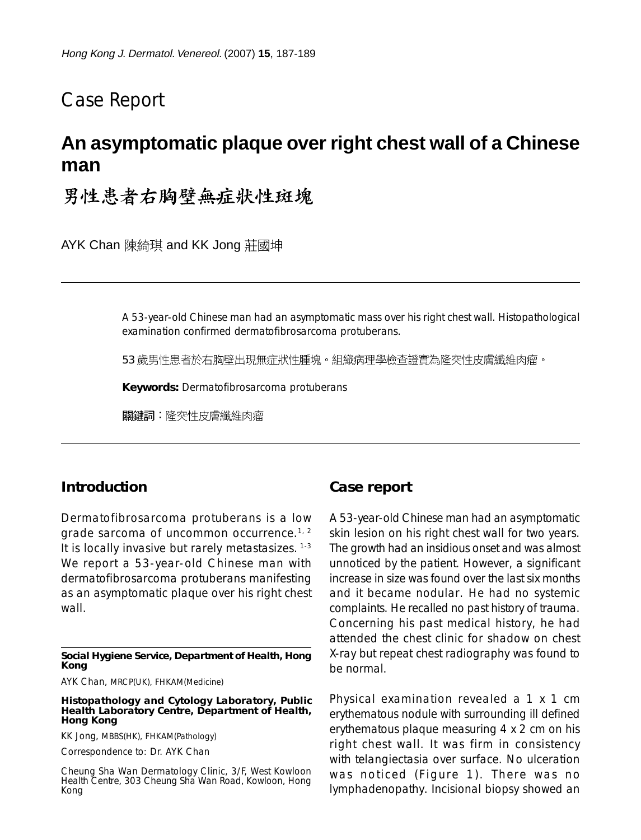# Case Report

# **An asymptomatic plaque over right chest wall of a Chinese man**

# 男性患者右胸壁無症狀性斑塊

AYK Chan 陳綺琪 and KK Jong 莊國坤

A 53-year-old Chinese man had an asymptomatic mass over his right chest wall. Histopathological examination confirmed dermatofibrosarcoma protuberans.

53 歲男性患者於右胸壁出現無症狀性腫塊。組織病理學檢查證實為隆突性皮膚纖維肉瘤。

**Keywords:** Dermatofibrosarcoma protuberans

關鍵詞:降突性皮膚纖維肉瘤

### **Introduction**

Dermatofibrosarcoma protuberans is a low grade sarcoma of uncommon occurrence.<sup>1, 2</sup> It is locally invasive but rarely metastasizes. 1-3 We report a 53-year-old Chinese man with dermatofibrosarcoma protuberans manifesting as an asymptomatic plaque over his right chest wall

#### **Social Hygiene Service, Department of Health, Hong Kong**

AYK Chan, MRCP(UK), FHKAM(Medicine)

#### **Histopathology and Cytology Laboratory, Public Health Laboratory Centre, Department of Health, Hong Kong**

KK Jong, MBBS(HK), FHKAM(Pathology)

Correspondence to: Dr. AYK Chan

Cheung Sha Wan Dermatology Clinic, 3/F, West Kowloon Health Centre, 303 Cheung Sha Wan Road, Kowloon, Hong Kong

### **Case report**

A 53-year-old Chinese man had an asymptomatic skin lesion on his right chest wall for two years. The growth had an insidious onset and was almost unnoticed by the patient. However, a significant increase in size was found over the last six months and it became nodular. He had no systemic complaints. He recalled no past history of trauma. Concerning his past medical history, he had attended the chest clinic for shadow on chest X-ray but repeat chest radiography was found to be normal.

Physical examination revealed a 1 x 1 cm erythematous nodule with surrounding ill defined erythematous plaque measuring 4 x 2 cm on his right chest wall. It was firm in consistency with telangiectasia over surface. No ulceration was noticed (Figure 1). There was no lymphadenopathy. Incisional biopsy showed an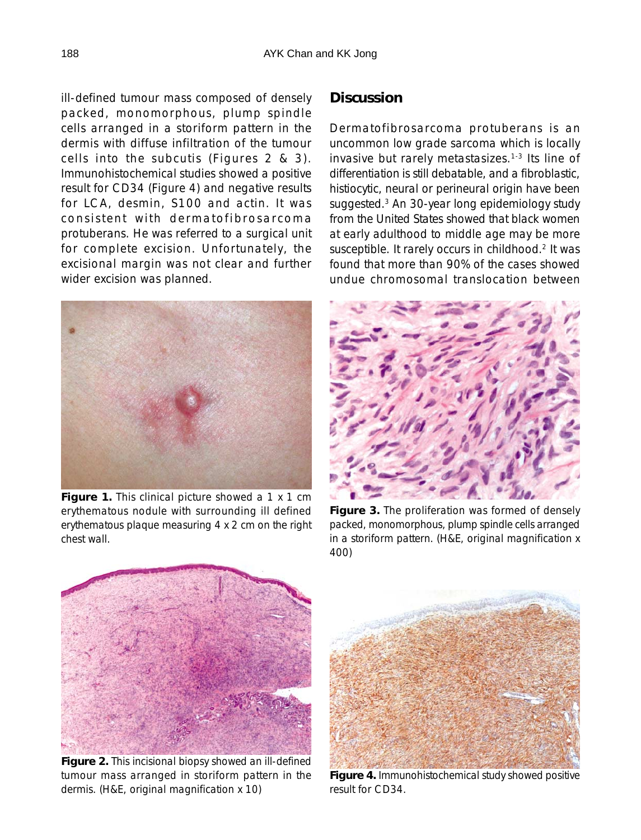ill-defined tumour mass composed of densely packed, monomorphous, plump spindle cells arranged in a storiform pattern in the dermis with diffuse infiltration of the tumour cells into the subcutis (Figures 2 & 3). Immunohistochemical studies showed a positive result for CD34 (Figure 4) and negative results for LCA, desmin, S100 and actin. It was consistent with dermatofibrosarcoma protuberans. He was referred to a surgical unit for complete excision. Unfortunately, the excisional margin was not clear and further wider excision was planned.



Figure 1. This clinical picture showed a 1 x 1 cm erythematous nodule with surrounding ill defined erythematous plaque measuring 4 x 2 cm on the right chest wall.

## **Discussion**

Dermatofibrosarcoma protuberans is an uncommon low grade sarcoma which is locally invasive but rarely metastasizes.1-3 Its line of differentiation is still debatable, and a fibroblastic, histiocytic, neural or perineural origin have been suggested.3 An 30-year long epidemiology study from the United States showed that black women at early adulthood to middle age may be more susceptible. It rarely occurs in childhood.<sup>2</sup> It was found that more than 90% of the cases showed undue chromosomal translocation between



**Figure 3.** The proliferation was formed of densely packed, monomorphous, plump spindle cells arranged in a storiform pattern. (H&E, original magnification x 400)



**Figure 2.** This incisional biopsy showed an ill-defined tumour mass arranged in storiform pattern in the dermis. (H&E, original magnification x 10)



**Figure 4.** Immunohistochemical study showed positive result for CD34.